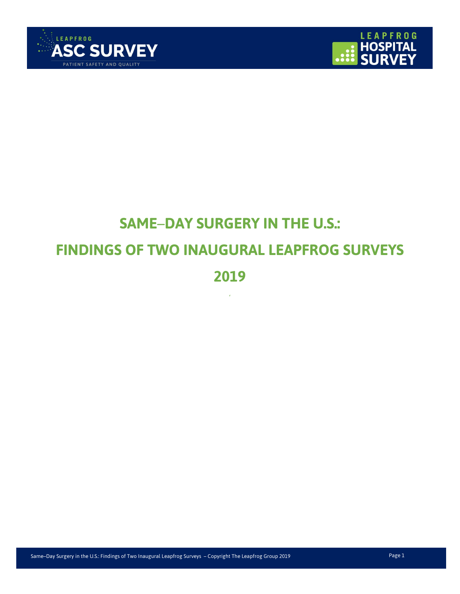



# **SAME**–**DAY SURGERY IN THE U.S.: FINDINGS OF TWO INAUGURAL LEAPFROG SURVEYS 2019**

'

Same–Day Surgery in the U.S.: Findings of Two Inaugural Leapfrog Surveys – Copyright The Leapfrog Group 2019 Page 1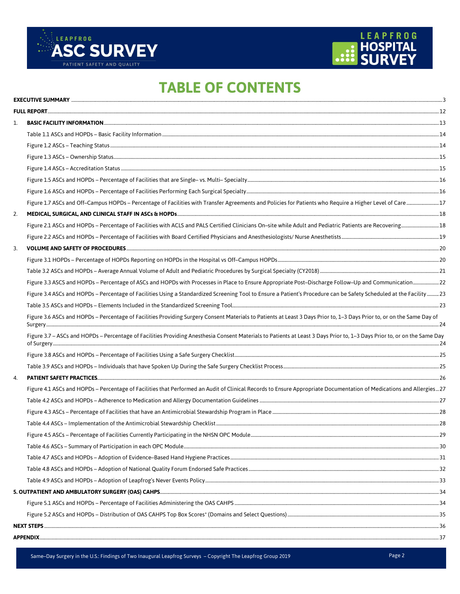



# **TABLE OF CONTENTS**

| 1. |                                                                                                                                                                           |  |
|----|---------------------------------------------------------------------------------------------------------------------------------------------------------------------------|--|
|    |                                                                                                                                                                           |  |
|    |                                                                                                                                                                           |  |
|    |                                                                                                                                                                           |  |
|    |                                                                                                                                                                           |  |
|    |                                                                                                                                                                           |  |
|    |                                                                                                                                                                           |  |
|    |                                                                                                                                                                           |  |
| 2. |                                                                                                                                                                           |  |
|    |                                                                                                                                                                           |  |
|    |                                                                                                                                                                           |  |
| 3. |                                                                                                                                                                           |  |
|    |                                                                                                                                                                           |  |
|    |                                                                                                                                                                           |  |
|    |                                                                                                                                                                           |  |
|    | Figure 3.4 ASCs and HOPDs - Percentage of Facilities Using a Standardized Screening Tool to Ensure a Patient's Procedure can be Safety Scheduled at the Facility  23      |  |
|    |                                                                                                                                                                           |  |
|    | Figure 3.6 ASCs and HOPDs - Percentage of Facilities Providing Surgery Consent Materials to Patients at Least 3 Days Prior to, 1-3 Days Prior to, or on the Same Day of   |  |
|    | Figure 3.7 - ASCs and HOPDs - Percentage of Facilities Providing Anesthesia Consent Materials to Patients at Least 3 Days Prior to, 1-3 Days Prior to, or on the Same Day |  |
|    |                                                                                                                                                                           |  |
|    |                                                                                                                                                                           |  |
| 4. |                                                                                                                                                                           |  |
|    | Figure 4.1 ASCs and HOPDs - Percentage of Facilities that Performed an Audit of Clinical Records to Ensure Appropriate Documentation of Medications and Allergies 27      |  |
|    |                                                                                                                                                                           |  |
|    |                                                                                                                                                                           |  |
|    |                                                                                                                                                                           |  |
|    |                                                                                                                                                                           |  |
|    |                                                                                                                                                                           |  |
|    |                                                                                                                                                                           |  |
|    |                                                                                                                                                                           |  |
|    |                                                                                                                                                                           |  |
|    |                                                                                                                                                                           |  |
|    |                                                                                                                                                                           |  |
|    |                                                                                                                                                                           |  |
|    |                                                                                                                                                                           |  |
|    |                                                                                                                                                                           |  |
|    |                                                                                                                                                                           |  |

Same-Day Surgery in the U.S.: Findings of Two Inaugural Leapfrog Surveys - Copyright The Leapfrog Group 2019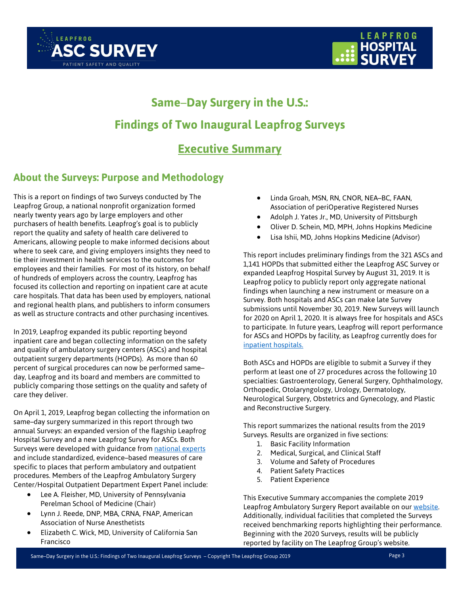



# **Same**–**Day Surgery in the U.S.: Findings of Two Inaugural Leapfrog Surveys Executive Summary**

### <span id="page-2-0"></span>**About the Surveys: Purpose and Methodology**

This is a report on findings of two Surveys conducted by The Leapfrog Group, a national nonprofit organization formed nearly twenty years ago by large employers and other purchasers of health benefits. Leapfrog's goal is to publicly report the quality and safety of health care delivered to Americans, allowing people to make informed decisions about where to seek care, and giving employers insights they need to tie their investment in health services to the outcomes for employees and their families. For most of its history, on behalf of hundreds of employers across the country, Leapfrog has focused its collection and reporting on inpatient care at acute care hospitals. That data has been used by employers, national and regional health plans, and publishers to inform consumers as well as structure contracts and other purchasing incentives.

In 2019, Leapfrog expanded its public reporting beyond inpatient care and began collecting information on the safety and quality of ambulatory surgery centers (ASCs) and hospital outpatient surgery departments (HOPDs). As more than 60 percent of surgical procedures can now be performed same– day, Leapfrog and its board and members are committed to publicly comparing those settings on the quality and safety of care they deliver.

On April 1, 2019, Leapfrog began collecting the information on same–day surgery summarized in this report through two annual Surveys: an expanded version of the flagship Leapfrog Hospital Survey and a new Leapfrog Survey for ASCs. Both Surveys were developed with guidance fro[m national experts](https://www.leapfroggroup.org/about/expert-panelists) and include standardized, evidence–based measures of care specific to places that perform ambulatory and outpatient procedures. Members of the Leapfrog Ambulatory Surgery Center/Hospital Outpatient Department Expert Panel include:

- Lee A. Fleisher, MD, University of Pennsylvania Perelman School of Medicine (Chair)
- Lynn J. Reede, DNP, MBA, CRNA, FNAP, American Association of Nurse Anesthetists
- Elizabeth C. Wick, MD, University of California San Francisco
- Linda Groah, MSN, RN, CNOR, NEA–BC, FAAN, Association of periOperative Registered Nurses
- Adolph J. Yates Jr., MD, University of Pittsburgh
- Oliver D. Schein, MD, MPH, Johns Hopkins Medicine
- Lisa Ishii, MD, Johns Hopkins Medicine (Advisor)

This report includes preliminary findings from the 321 ASCs and 1,141 HOPDs that submitted either the Leapfrog ASC Survey or expanded Leapfrog Hospital Survey by August 31, 2019. It is Leapfrog policy to publicly report only aggregate national findings when launching a new instrument or measure on a Survey. Both hospitals and ASCs can make late Survey submissions until November 30, 2019. New Surveys will launch for 2020 on April 1, 2020. It is always free for hospitals and ASCs to participate. In future years, Leapfrog will report performance for ASCs and HOPDs by facility, as Leapfrog currently does for [inpatient hospitals.](https://www.leapfroggroup.org/compare-hospitals)

Both ASCs and HOPDs are eligible to submit a Survey if they perform at least one of 27 procedures across the following 10 specialties: Gastroenterology, General Surgery, Ophthalmology, Orthopedic, Otolaryngology, Urology, Dermatology, Neurological Surgery, Obstetrics and Gynecology, and Plastic and Reconstructive Surgery.

This report summarizes the national results from the 2019 Surveys. Results are organized in five sections:

- 1. Basic Facility Information
- 2. Medical, Surgical, and Clinical Staff
- 3. Volume and Safety of Procedures
- 4. Patient Safety Practices
- 5. Patient Experience

This Executive Summary accompanies the complete 2019 Leapfrog Ambulatory Surgery Report available on our [website.](https://www.leapfroggroup.org/same-day-surgery-us-findings-two-inaugural-leapfrog-surveys) Additionally, individual facilities that completed the Surveys received benchmarking reports highlighting their performance. Beginning with the 2020 Surveys, results will be publicly reported by facility on The Leapfrog Group's website.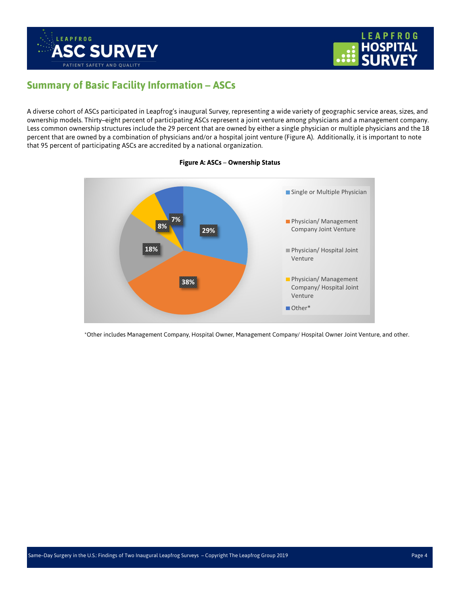



### **Summary of Basic Facility Information – ASCs**

A diverse cohort of ASCs participated in Leapfrog's inaugural Survey, representing a wide variety of geographic service areas, sizes, and ownership models. Thirty–eight percent of participating ASCs represent a joint venture among physicians and a management company. Less common ownership structures include the 29 percent that are owned by either a single physician or multiple physicians and the 18 percent that are owned by a combination of physicians and/or a hospital joint venture (Figure A). Additionally, it is important to note that 95 percent of participating ASCs are accredited by a national organization.



#### **Figure A: ASCs** – **Ownership Status**

\*Other includes Management Company, Hospital Owner, Management Company/ Hospital Owner Joint Venture, and other.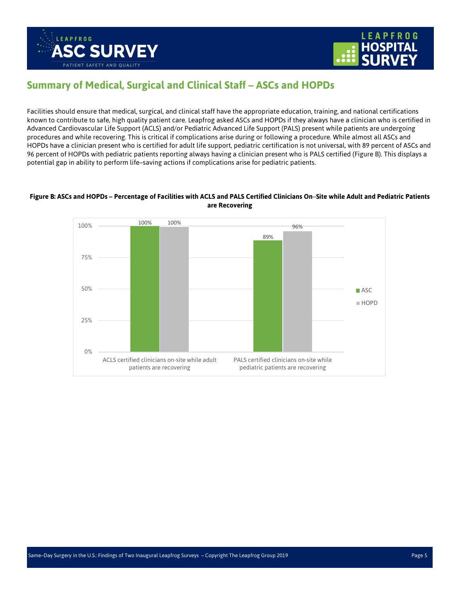



### **Summary of Medical, Surgical and Clinical Staff – ASCs and HOPDs**

Facilities should ensure that medical, surgical, and clinical staff have the appropriate education, training, and national certifications known to contribute to safe, high quality patient care. Leapfrog asked ASCs and HOPDs if they always have a clinician who is certified in Advanced Cardiovascular Life Support (ACLS) and/or Pediatric Advanced Life Support (PALS) present while patients are undergoing procedures and while recovering. This is critical if complications arise during or following a procedure. While almost all ASCs and HOPDs have a clinician present who is certified for adult life support, pediatric certification is not universal, with 89 percent of ASCs and 96 percent of HOPDs with pediatric patients reporting always having a clinician present who is PALS certified (Figure B). This displays a potential gap in ability to perform life–saving actions if complications arise for pediatric patients.

#### **Figure B: ASCs and HOPDs – Percentage of Facilities with ACLS and PALS Certified Clinicians On**–**Site while Adult and Pediatric Patients are Recovering**

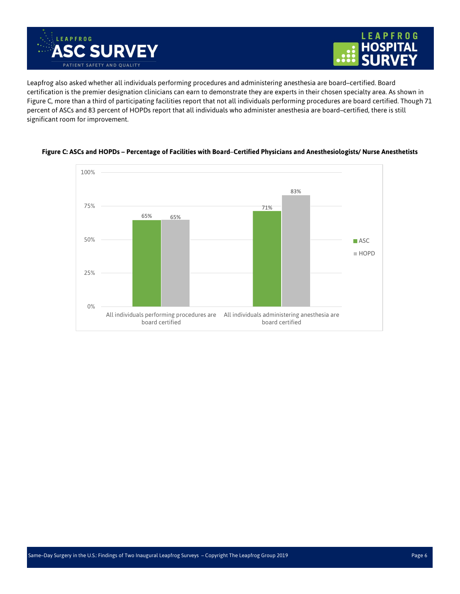



Leapfrog also asked whether all individuals performing procedures and administering anesthesia are board–certified. Board certification is the premier designation clinicians can earn to demonstrate they are experts in their chosen specialty area. As shown in Figure C, more than a third of participating facilities report that not all individuals performing procedures are board certified. Though 71 percent of ASCs and 83 percent of HOPDs report that all individuals who administer anesthesia are board–certified, there is still significant room for improvement.



#### **Figure C: ASCs and HOPDs – Percentage of Facilities with Board**–**Certified Physicians and Anesthesiologists/ Nurse Anesthetists**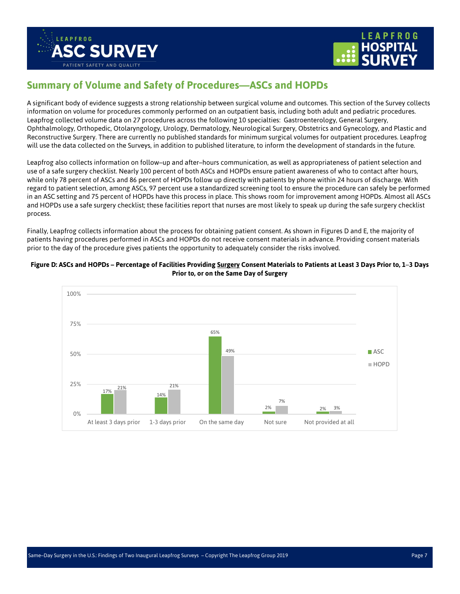



### **Summary of Volume and Safety of Procedures—ASCs and HOPDs**

A significant body of evidence suggests a strong relationship between surgical volume and outcomes. This section of the Survey collects information on volume for procedures commonly performed on an outpatient basis, including both adult and pediatric procedures. Leapfrog collected volume data on 27 procedures across the following 10 specialties: Gastroenterology, General Surgery, Ophthalmology, Orthopedic, Otolaryngology, Urology, Dermatology, Neurological Surgery, Obstetrics and Gynecology, and Plastic and Reconstructive Surgery. There are currently no published standards for minimum surgical volumes for outpatient procedures. Leapfrog will use the data collected on the Surveys, in addition to published literature, to inform the development of standards in the future.

Leapfrog also collects information on follow–up and after–hours communication, as well as appropriateness of patient selection and use of a safe surgery checklist. Nearly 100 percent of both ASCs and HOPDs ensure patient awareness of who to contact after hours, while only 78 percent of ASCs and 86 percent of HOPDs follow up directly with patients by phone within 24 hours of discharge. With regard to patient selection, among ASCs, 97 percent use a standardized screening tool to ensure the procedure can safely be performed in an ASC setting and 75 percent of HOPDs have this process in place. This shows room for improvement among HOPDs. Almost all ASCs and HOPDs use a safe surgery checklist; these facilities report that nurses are most likely to speak up during the safe surgery checklist process.

Finally, Leapfrog collects information about the process for obtaining patient consent. As shown in Figures D and E, the majority of patients having procedures performed in ASCs and HOPDs do not receive consent materials in advance. Providing consent materials prior to the day of the procedure gives patients the opportunity to adequately consider the risks involved.



#### **Figure D: ASCs and HOPDs – Percentage of Facilities Providing Surgery Consent Materials to Patients at Least 3 Days Prior to, 1**–**3 Days Prior to, or on the Same Day of Surgery**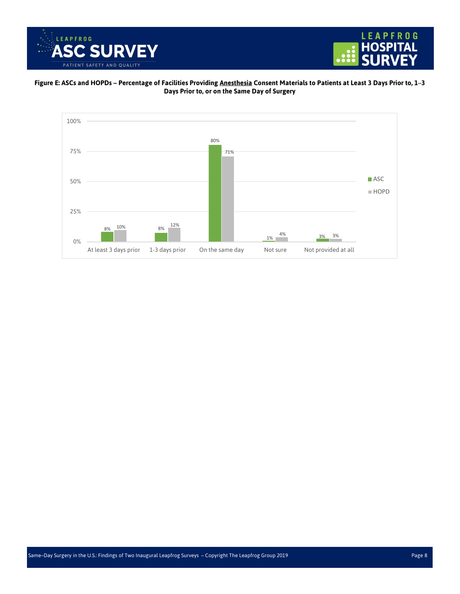



#### **Figure E: ASCs and HOPDs – Percentage of Facilities Providing Anesthesia Consent Materials to Patients at Least 3 Days Prior to, 1**–**3 Days Prior to, or on the Same Day of Surgery**

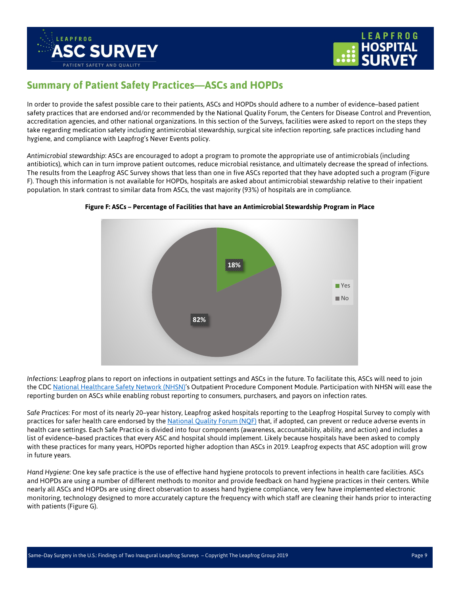



### **Summary of Patient Safety Practices—ASCs and HOPDs**

In order to provide the safest possible care to their patients, ASCs and HOPDs should adhere to a number of evidence–based patient safety practices that are endorsed and/or recommended by the National Quality Forum, the Centers for Disease Control and Prevention, accreditation agencies, and other national organizations. In this section of the Surveys, facilities were asked to report on the steps they take regarding medication safety including antimicrobial stewardship, surgical site infection reporting, safe practices including hand hygiene, and compliance with Leapfrog's Never Events policy.

*Antimicrobial stewardship*: ASCs are encouraged to adopt a program to promote the appropriate use of antimicrobials (including antibiotics), which can in turn improve patient outcomes, reduce microbial resistance, and ultimately decrease the spread of infections. The results from the Leapfrog ASC Survey shows that less than one in five ASCs reported that they have adopted such a program (Figure F). Though this information is not available for HOPDs, hospitals are asked about antimicrobial stewardship relative to their inpatient population. In stark contrast to similar data from ASCs, the vast majority (93%) of hospitals are in compliance.



#### **Figure F: ASCs – Percentage of Facilities that have an Antimicrobial Stewardship Program in Place**

*Infections:* Leapfrog plans to report on infections in outpatient settings and ASCs in the future. To facilitate this, ASCs will need to join the CD[C National Healthcare Safety Network \(NHSN\)'s](https://www.cdc.gov/nhsn/ambulatory-surgery/index.html) Outpatient Procedure Component Module. Participation with NHSN will ease the reporting burden on ASCs while enabling robust reporting to consumers, purchasers, and payors on infection rates.

*Safe Practices*: For most of its nearly 20–year history, Leapfrog asked hospitals reporting to the Leapfrog Hospital Survey to comply with practices for safer health care endorsed by the [National Quality Forum \(NQF\)](https://www.qualityforum.org/News_And_Resources/Press_Kits/Safe_Practices_for_Better_Healthcare.aspx) that, if adopted, can prevent or reduce adverse events in health care settings. Each Safe Practice is divided into four components (awareness, accountability, ability, and action) and includes a list of evidence–based practices that every ASC and hospital should implement. Likely because hospitals have been asked to comply with these practices for many years, HOPDs reported higher adoption than ASCs in 2019. Leapfrog expects that ASC adoption will grow in future years.

*Hand Hygiene*: One key safe practice is the use of effective hand hygiene protocols to prevent infections in health care facilities. ASCs and HOPDs are using a number of different methods to monitor and provide feedback on hand hygiene practices in their centers. While nearly all ASCs and HOPDs are using direct observation to assess hand hygiene compliance, very few have implemented electronic monitoring, technology designed to more accurately capture the frequency with which staff are cleaning their hands prior to interacting with patients (Figure G).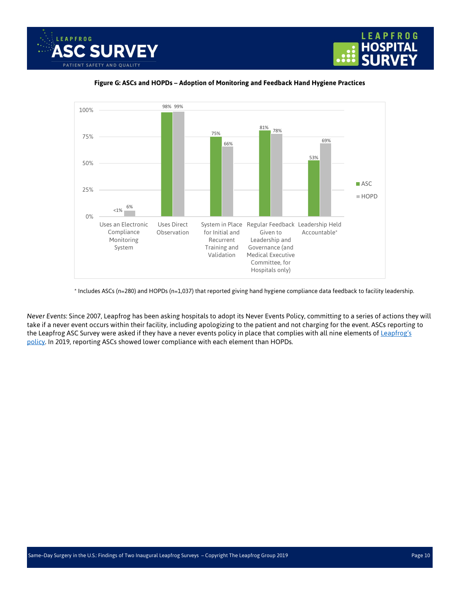





#### **Figure G: ASCs and HOPDs – Adoption of Monitoring and Feedback Hand Hygiene Practices**

\* Includes ASCs (n=280) and HOPDs (n=1,037) that reported giving hand hygiene compliance data feedback to facility leadership.

*Never Events*: Since 2007, Leapfrog has been asking hospitals to adopt its Never Events Policy, committing to a series of actions they will take if a never event occurs within their facility, including apologizing to the patient and not charging for the event. ASCs reporting to the Leapfrog ASC Survey were asked if they have a never events policy in place that complies with all nine elements of Leapfrog's [policy.](https://www.leapfroggroup.org/ratings-reports/never-events-management) In 2019, reporting ASCs showed lower compliance with each element than HOPDs.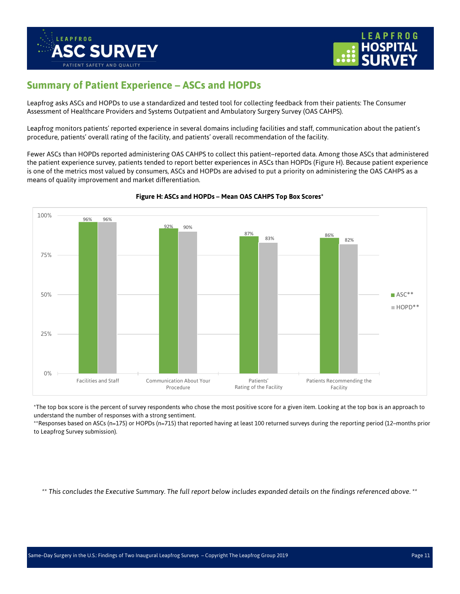



### **Summary of Patient Experience – ASCs and HOPDs**

Leapfrog asks ASCs and HOPDs to use a standardized and tested tool for collecting feedback from their patients: The Consumer Assessment of Healthcare Providers and Systems Outpatient and Ambulatory Surgery Survey (OAS CAHPS).

Leapfrog monitors patients' reported experience in several domains including facilities and staff, communication about the patient's procedure, patients' overall rating of the facility, and patients' overall recommendation of the facility.

Fewer ASCs than HOPDs reported administering OAS CAHPS to collect this patient–reported data. Among those ASCs that administered the patient experience survey, patients tended to report better experiences in ASCs than HOPDs (Figure H). Because patient experience is one of the metrics most valued by consumers, ASCs and HOPDs are advised to put a priority on administering the OAS CAHPS as a means of quality improvement and market differentiation.



#### **Figure H: ASCs and HOPDs – Mean OAS CAHPS Top Box Scores\***

\*The top box score is the percent of survey respondents who chose the most positive score for a given item. Looking at the top box is an approach to understand the number of responses with a strong sentiment.

\*\*Responses based on ASCs (n=175) or HOPDs (n=715) that reported having at least 100 returned surveys during the reporting period (12–months prior to Leapfrog Survey submission).

*\*\* This concludes the Executive Summary. The full report below includes expanded details on the findings referenced above. \*\**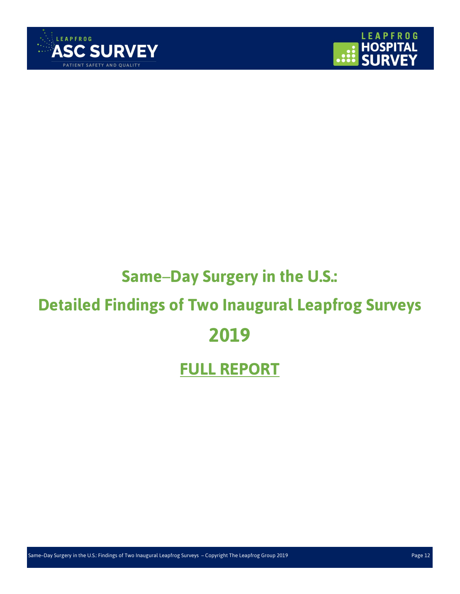



# **Same**–**Day Surgery in the U.S.:**

# <span id="page-11-0"></span>**Detailed Findings of Two Inaugural Leapfrog Surveys**

# **2019**

# **FULL REPORT**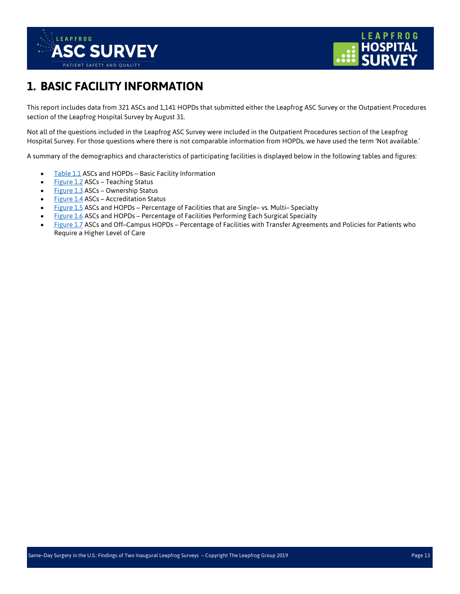



## <span id="page-12-0"></span>**1. BASIC FACILITY INFORMATION**

This report includes data from 321 ASCs and 1,141 HOPDs that submitted either the Leapfrog ASC Survey or the Outpatient Procedures section of the Leapfrog Hospital Survey by August 31.

Not all of the questions included in the Leapfrog ASC Survey were included in the Outpatient Procedures section of the Leapfrog Hospital Survey. For those questions where there is not comparable information from HOPDs, we have used the term 'Not available.'

A summary of the demographics and characteristics of participating facilities is displayed below in the following tables and figures:

- [Table 1.1](#page-13-0) ASCs and HOPDs Basic Facility Information
- [Figure 1.2](#page-13-1) ASCs Teaching Status
- [Figure 1.3](#page-14-0) ASCs Ownership Status
- [Figure 1.4](#page-14-1) ASCs Accreditation Status
- [Figure 1.5](#page-15-0) ASCs and HOPDs Percentage of Facilities that are Single– vs. Multi– Specialty
- [Figure 1.6](#page-15-1) ASCs and HOPDs Percentage of Facilities Performing Each Surgical Specialty
- [Figure 1.7](#page-16-0) ASCs and Off–Campus HOPDs Percentage of Facilities with Transfer Agreements and Policies for Patients who Require a Higher Level of Care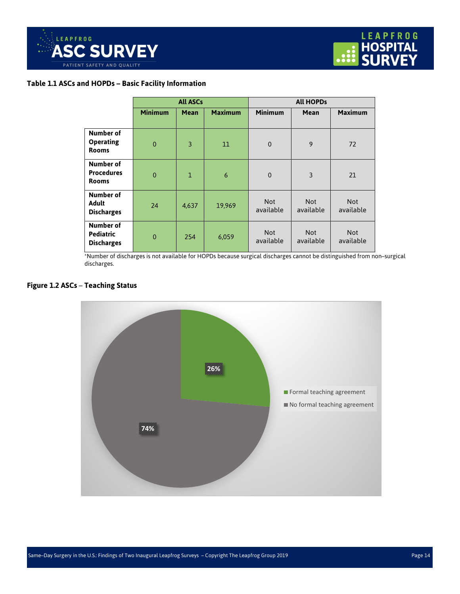

#### <span id="page-13-0"></span>**Table 1.1 ASCs and HOPDs – Basic Facility Information**

|                                                    | <b>All ASCs</b> |              |                | <b>All HOPDs</b>        |                         |                         |  |
|----------------------------------------------------|-----------------|--------------|----------------|-------------------------|-------------------------|-------------------------|--|
|                                                    | <b>Minimum</b>  | <b>Mean</b>  | <b>Maximum</b> | <b>Minimum</b>          | <b>Mean</b>             | <b>Maximum</b>          |  |
| Number of<br><b>Operating</b><br><b>Rooms</b>      | $\mathbf{0}$    | 3            | $11\,$         | $\Omega$                | 9                       | 72                      |  |
| Number of<br><b>Procedures</b><br><b>Rooms</b>     | $\mathbf{0}$    | $\mathbf{1}$ | 6              | $\mathbf 0$             | 3                       | 21                      |  |
| Number of<br><b>Adult</b><br><b>Discharges</b>     | 24              | 4,637        | 19,969         | <b>Not</b><br>available | <b>Not</b><br>available | <b>Not</b><br>available |  |
| Number of<br><b>Pediatric</b><br><b>Discharges</b> | $\mathbf 0$     | 254          | 6,059          | <b>Not</b><br>available | <b>Not</b><br>available | <b>Not</b><br>available |  |

\*Number of discharges is not available for HOPDs because surgical discharges cannot be distinguished from non–surgical discharges.

#### <span id="page-13-1"></span>**Figure 1.2 ASCs** – **Teaching Status**

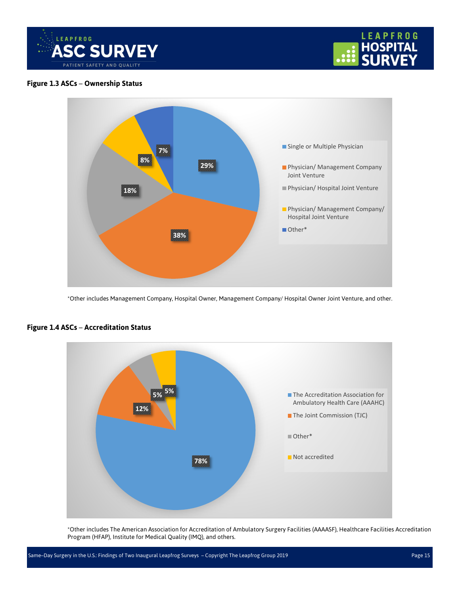



#### <span id="page-14-0"></span>**Figure 1.3 ASCs** – **Ownership Status**



\*Other includes Management Company, Hospital Owner, Management Company/ Hospital Owner Joint Venture, and other.



#### <span id="page-14-1"></span>**Figure 1.4 ASCs** – **Accreditation Status**

\*Other includes The American Association for Accreditation of Ambulatory Surgery Facilities (AAAASF), Healthcare Facilities Accreditation Program (HFAP), Institute for Medical Quality (IMQ), and others.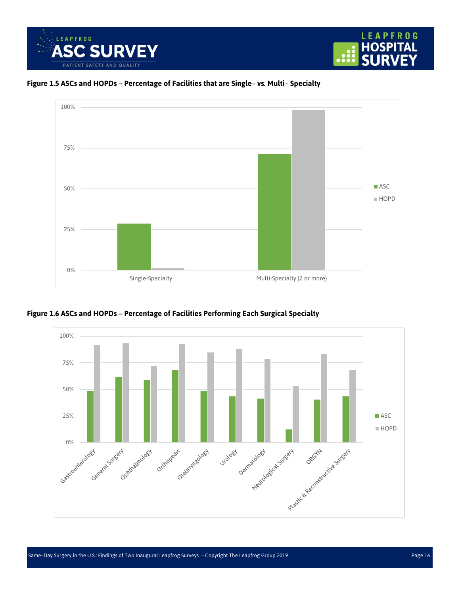





<span id="page-15-0"></span>**Figure 1.5 ASCs and HOPDs – Percentage of Facilities that are Single**– **vs. Multi**– **Specialty**

<span id="page-15-1"></span>

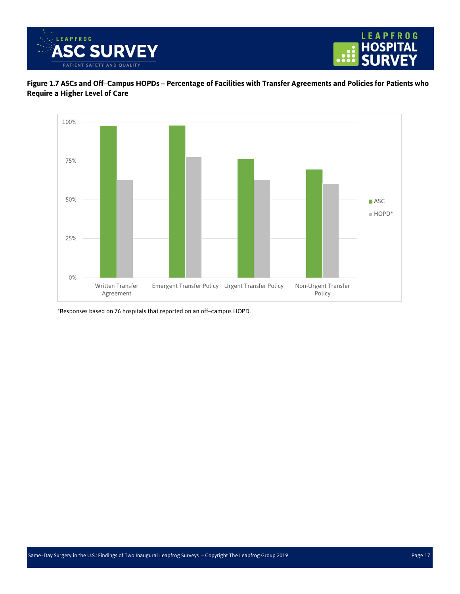



<span id="page-16-0"></span>**Figure 1.7 ASCs and Off**–**Campus HOPDs – Percentage of Facilities with Transfer Agreements and Policies for Patients who Require a Higher Level of Care**



\*Responses based on 76 hospitals that reported on an off–campus HOPD.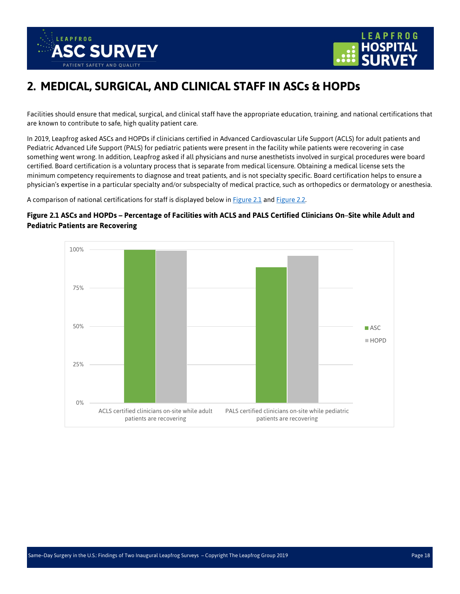



## <span id="page-17-0"></span>**2. MEDICAL, SURGICAL, AND CLINICAL STAFF IN ASCs & HOPDs**

Facilities should ensure that medical, surgical, and clinical staff have the appropriate education, training, and national certifications that are known to contribute to safe, high quality patient care.

In 2019, Leapfrog asked ASCs and HOPDs if clinicians certified in Advanced Cardiovascular Life Support (ACLS) for adult patients and Pediatric Advanced Life Support (PALS) for pediatric patients were present in the facility while patients were recovering in case something went wrong. In addition, Leapfrog asked if all physicians and nurse anesthetists involved in surgical procedures were board certified. Board certification is a voluntary process that is separate from medical licensure. Obtaining a medical license sets the minimum competency requirements to diagnose and treat patients, and is not specialty specific. Board certification helps to ensure a physician's expertise in a particular specialty and/or subspecialty of medical practice, such as orthopedics or dermatology or anesthesia.

A comparison of national certifications for staff is displayed below in [Figure 2.1](#page-17-1) and Figure 2.2.

#### <span id="page-17-1"></span>**Figure 2.1 ASCs and HOPDs – Percentage of Facilities with ACLS and PALS Certified Clinicians On**–**Site while Adult and Pediatric Patients are Recovering**

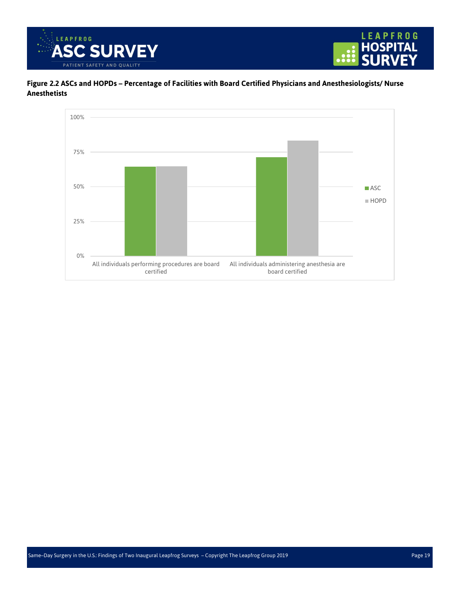



<span id="page-18-0"></span>**Figure 2.2 ASCs and HOPDs – Percentage of Facilities with Board Certified Physicians and Anesthesiologists/ Nurse Anesthetists**

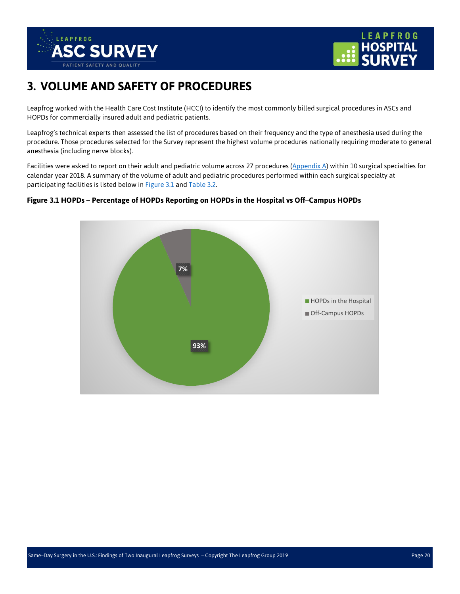



## <span id="page-19-0"></span>**3. VOLUME AND SAFETY OF PROCEDURES**

Leapfrog worked with the Health Care Cost Institute (HCCI) to identify the most commonly billed surgical procedures in ASCs and HOPDs for commercially insured adult and pediatric patients.

Leapfrog's technical experts then assessed the list of procedures based on their frequency and the type of anesthesia used during the procedure. Those procedures selected for the Survey represent the highest volume procedures nationally requiring moderate to general anesthesia (including nerve blocks).

Facilities were asked to report on their adult and pediatric volume across 27 procedures [\(Appendix A\)](#page-35-1) within 10 surgical specialties for calendar year 2018. A summary of the volume of adult and pediatric procedures performed within each surgical specialty at participating facilities is listed below in **Figure 3.1** and **Table 3.2**.

<span id="page-19-1"></span>

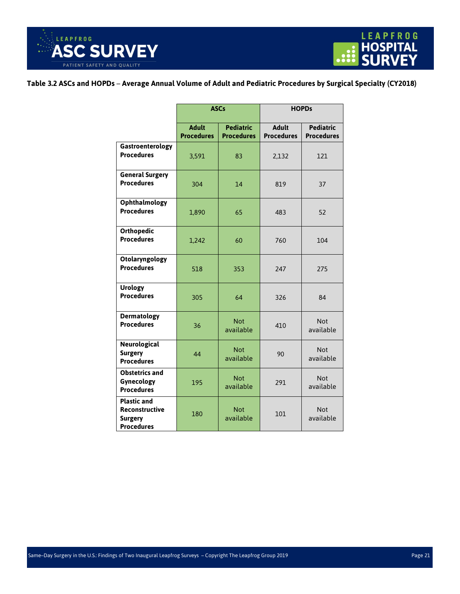

#### <span id="page-20-0"></span>**Table 3.2 ASCs and HOPDs** – **Average Annual Volume of Adult and Pediatric Procedures by Surgical Specialty (CY2018)**

|                                                                                    | <b>ASCs</b>                       |                                       | <b>HOPDs</b>                      |                                       |  |
|------------------------------------------------------------------------------------|-----------------------------------|---------------------------------------|-----------------------------------|---------------------------------------|--|
|                                                                                    | <b>Adult</b><br><b>Procedures</b> | <b>Pediatric</b><br><b>Procedures</b> | <b>Adult</b><br><b>Procedures</b> | <b>Pediatric</b><br><b>Procedures</b> |  |
| Gastroenterology<br><b>Procedures</b>                                              | 3,591                             | 83                                    | 2,132                             | 121                                   |  |
| <b>General Surgery</b><br><b>Procedures</b>                                        | 304                               | 14                                    | 819                               | 37                                    |  |
| Ophthalmology<br><b>Procedures</b>                                                 | 1,890                             | 65                                    | 483                               | 52                                    |  |
| <b>Orthopedic</b><br><b>Procedures</b>                                             | 1,242                             | 60                                    | 760                               | 104                                   |  |
| Otolaryngology<br><b>Procedures</b>                                                | 518                               | 353                                   | 247                               | 275                                   |  |
| <b>Urology</b><br><b>Procedures</b>                                                | 305                               | 64                                    | 326                               | 84                                    |  |
| <b>Dermatology</b><br><b>Procedures</b>                                            | 36                                | <b>Not</b><br>available               | 410                               | <b>Not</b><br>available               |  |
| Neurological<br><b>Surgery</b><br><b>Procedures</b>                                | 44                                | <b>Not</b><br>available               | 90                                | <b>Not</b><br>available               |  |
| <b>Obstetrics and</b><br>Gynecology<br><b>Procedures</b>                           | 195                               | <b>Not</b><br>available               | 291                               | <b>Not</b><br>available               |  |
| <b>Plastic and</b><br><b>Reconstructive</b><br><b>Surgery</b><br><b>Procedures</b> | 180                               | <b>Not</b><br>available               | 101                               | <b>Not</b><br>available               |  |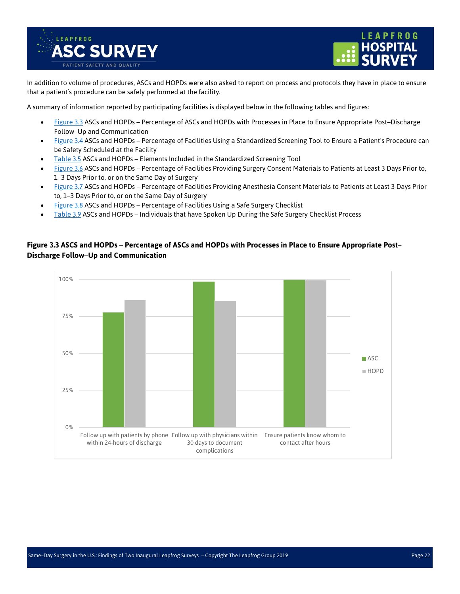



In addition to volume of procedures, ASCs and HOPDs were also asked to report on process and protocols they have in place to ensure that a patient's procedure can be safely performed at the facility.

A summary of information reported by participating facilities is displayed below in the following tables and figures:

- [Figure 3.3](#page-21-0) ASCs and HOPDs Percentage of ASCs and HOPDs with Processes in Place to Ensure Appropriate Post–Discharge Follow–Up and Communication
- [Figure 3.4](#page-22-0) ASCs and HOPDs Percentage of Facilities Using a Standardized Screening Tool to Ensure a Patient's Procedure can be Safety Scheduled at the Facility
- [Table 3.5](#page-22-1) ASCs and HOPDs Elements Included in the Standardized Screening Tool
- [Figure 3.6](#page-23-0) ASCs and HOPDs Percentage of Facilities Providing Surgery Consent Materials to Patients at Least 3 Days Prior to, 1–3 Days Prior to, or on the Same Day of Surgery
- [Figure 3.7](#page-23-1) ASCs and HOPDs Percentage of Facilities Providing Anesthesia Consent Materials to Patients at Least 3 Days Prior to, 1–3 Days Prior to, or on the Same Day of Surgery
- [Figure 3.8](#page-24-0) ASCs and HOPDs Percentage of Facilities Using a Safe Surgery Checklist
- [Table 3.9](#page-24-1) ASCs and HOPDs Individuals that have Spoken Up During the Safe Surgery Checklist Process

#### <span id="page-21-0"></span>**Figure 3.3 ASCS and HOPDs** – **Percentage of ASCs and HOPDs with Processes in Place to Ensure Appropriate Post**– **Discharge Follow**–**Up and Communication**

![](_page_21_Figure_12.jpeg)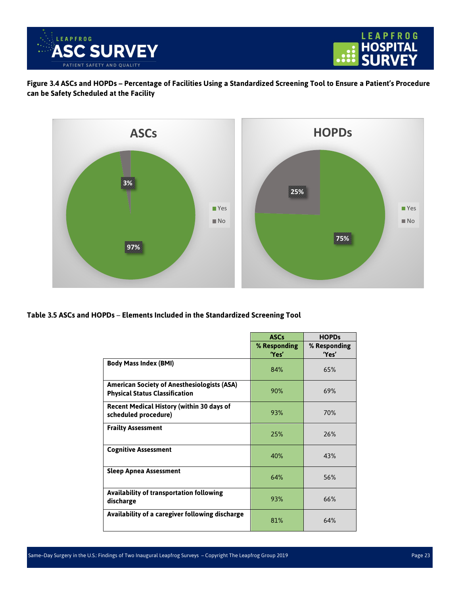![](_page_22_Picture_0.jpeg)

![](_page_22_Picture_1.jpeg)

<span id="page-22-0"></span>**Figure 3.4 ASCs and HOPDs – Percentage of Facilities Using a Standardized Screening Tool to Ensure a Patient's Procedure can be Safety Scheduled at the Facility** 

![](_page_22_Figure_3.jpeg)

<span id="page-22-1"></span>**Table 3.5 ASCs and HOPDs** – **Elements Included in the Standardized Screening Tool** 

|                                                                                             | <b>ASCs</b>  | <b>HOPDs</b> |
|---------------------------------------------------------------------------------------------|--------------|--------------|
|                                                                                             | % Responding | % Responding |
|                                                                                             | 'Yes'        | 'Yes'        |
| <b>Body Mass Index (BMI)</b>                                                                | 84%          | 65%          |
| <b>American Society of Anesthesiologists (ASA)</b><br><b>Physical Status Classification</b> | 90%          | 69%          |
| <b>Recent Medical History (within 30 days of</b><br>scheduled procedure)                    | 93%          | 70%          |
| <b>Frailty Assessment</b>                                                                   | 25%          | 76%          |
| <b>Cognitive Assessment</b>                                                                 | 40%          | 43%          |
| <b>Sleep Apnea Assessment</b>                                                               | 64%          | 56%          |
| <b>Availability of transportation following</b><br>discharge                                | 93%          | 66%          |
| Availability of a caregiver following discharge                                             | 81%          | 64%          |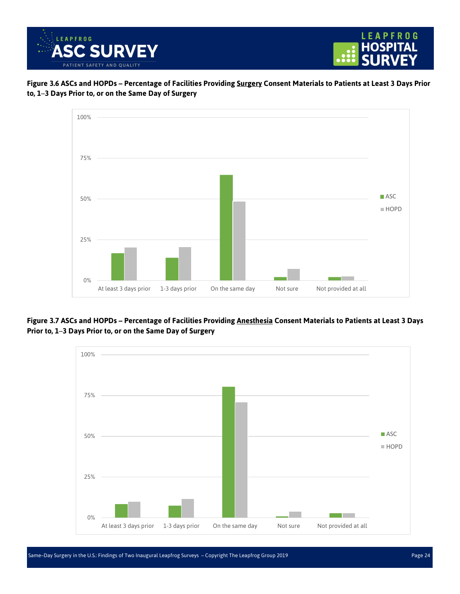![](_page_23_Picture_0.jpeg)

![](_page_23_Figure_1.jpeg)

<span id="page-23-0"></span>![](_page_23_Figure_2.jpeg)

![](_page_23_Figure_3.jpeg)

<span id="page-23-1"></span>**Figure 3.7 ASCs and HOPDs – Percentage of Facilities Providing Anesthesia Consent Materials to Patients at Least 3 Days Prior to, 1**–**3 Days Prior to, or on the Same Day of Surgery**

![](_page_23_Figure_5.jpeg)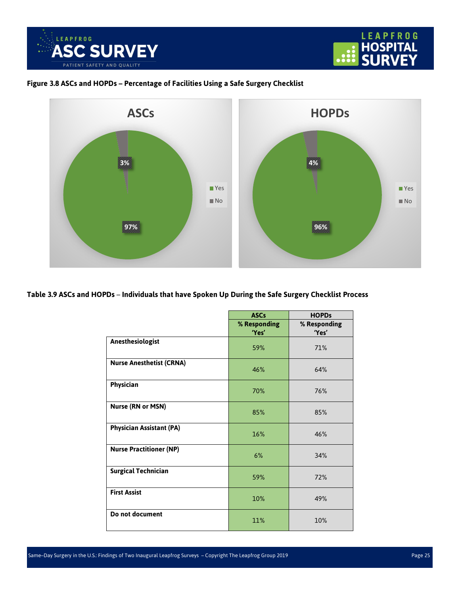![](_page_24_Picture_0.jpeg)

![](_page_24_Picture_1.jpeg)

#### <span id="page-24-0"></span>**Figure 3.8 ASCs and HOPDs – Percentage of Facilities Using a Safe Surgery Checklist**

![](_page_24_Figure_3.jpeg)

#### <span id="page-24-1"></span>**Table 3.9 ASCs and HOPDs** – **Individuals that have Spoken Up During the Safe Surgery Checklist Process**

|                                 | <b>ASCs</b>  | <b>HOPDs</b> |
|---------------------------------|--------------|--------------|
|                                 | % Responding | % Responding |
|                                 | 'Yes'        | 'Yes'        |
| Anesthesiologist                | 59%          | 71%          |
| <b>Nurse Anesthetist (CRNA)</b> | 46%          | 64%          |
| Physician                       | 70%          | 76%          |
| <b>Nurse (RN or MSN)</b>        | 85%          | 85%          |
| <b>Physician Assistant (PA)</b> | 16%          | 46%          |
| <b>Nurse Practitioner (NP)</b>  | 6%           | 34%          |
| <b>Surgical Technician</b>      | 59%          | 72%          |
| <b>First Assist</b>             | 10%          | 49%          |
| Do not document                 | 11%          | 10%          |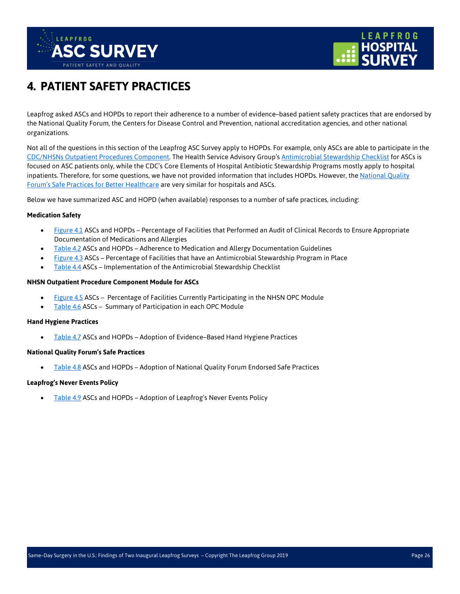![](_page_25_Picture_0.jpeg)

![](_page_25_Picture_1.jpeg)

## <span id="page-25-0"></span>**4. PATIENT SAFETY PRACTICES**

Leapfrog asked ASCs and HOPDs to report their adherence to a number of evidence–based patient safety practices that are endorsed by the National Quality Forum, the Centers for Disease Control and Prevention, national accreditation agencies, and other national organizations.

Not all of the questions in this section of the Leapfrog ASC Survey apply to HOPDs. For example, only ASCs are able to participate in the [CDC/NHSNs Outpatient Procedures Component.](https://www.cdc.gov/nhsn/ambulatory-surgery/index.html) The Health Service Advisory Group's [Antimicrobial Stewardship Checklist](https://www.hsag.com/en/medicare-providers/antibiotic-stewardship/) for ASCs is focused on ASC patients only, while the CDC's Core Elements of Hospital Antibiotic Stewardship Programs mostly apply to hospital inpatients. Therefore, for some questions, we have not provided information that includes HOPDs. However, th[e National Quality](https://www.qualityforum.org/News_And_Resources/Press_Kits/Safe_Practices_for_Better_Healthcare.aspx)  Forum's Safe Practices [for Better Healthcare](https://www.qualityforum.org/News_And_Resources/Press_Kits/Safe_Practices_for_Better_Healthcare.aspx) are very similar for hospitals and ASCs.

Below we have summarized ASC and HOPD (when available) responses to a number of safe practices, including:

#### **Medication Safety**

- [Figure 4.1](#page-26-0) ASCs and HOPDs Percentage of Facilities that Performed an Audit of Clinical Records to Ensure Appropriate Documentation of Medications and Allergies
- [Table 4.2](#page-26-1) ASCs and HOPDs Adherence to Medication and Allergy Documentation Guidelines
- [Figure 4.3](#page-27-0) ASCs Percentage of Facilities that have an Antimicrobial Stewardship Program in Place
- [Table 4.4](#page-27-1) ASCs Implementation of the Antimicrobial Stewardship Checklist

#### **NHSN Outpatient Procedure Component Module for ASCs**

- [Figure 4.5](#page-28-0) ASCs Percentage of Facilities Currently Participating in the NHSN OPC Module
- [Table 4.6](#page-29-0) ASCs Summary of Participation in each OPC Module

#### **Hand Hygiene Practices**

• [Table 4.7](#page-30-0) ASCs and HOPDs – Adoption of Evidence–Based Hand Hygiene Practices

#### **National Quality Forum's Safe Practices**

[Table 4.8](#page-31-0) ASCs and HOPDs - Adoption of National Quality Forum Endorsed Safe Practices

#### **Leapfrog's Never Events Policy**

• [Table 4.9](#page-32-0) ASCs and HOPDs – Adoption of Leapfrog's Never Events Policy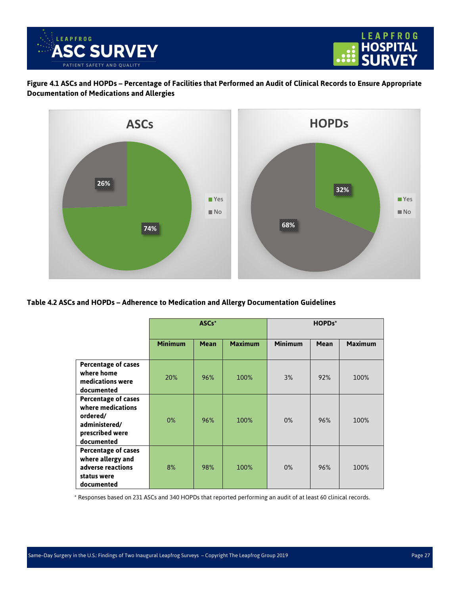![](_page_26_Picture_0.jpeg)

<span id="page-26-0"></span>**Figure 4.1 ASCs and HOPDs – Percentage of Facilities that Performed an Audit of Clinical Records to Ensure Appropriate Documentation of Medications and Allergies**

![](_page_26_Figure_3.jpeg)

<span id="page-26-1"></span>**Table 4.2 ASCs and HOPDs – Adherence to Medication and Allergy Documentation Guidelines**

|                                                                                                               | ASCs*          |             |                | HOPDs*         |             |                |
|---------------------------------------------------------------------------------------------------------------|----------------|-------------|----------------|----------------|-------------|----------------|
|                                                                                                               | <b>Minimum</b> | <b>Mean</b> | <b>Maximum</b> | <b>Minimum</b> | <b>Mean</b> | <b>Maximum</b> |
| <b>Percentage of cases</b><br>where home<br>medications were<br>documented                                    | 20%            | 96%         | 100%           | 3%             | 92%         | 100%           |
| <b>Percentage of cases</b><br>where medications<br>ordered/<br>administered/<br>prescribed were<br>documented | $0\%$          | 96%         | 100%           | $0\%$          | 96%         | 100%           |
| Percentage of cases<br>where allergy and<br>adverse reactions<br>status were<br>documented                    | 8%             | 98%         | 100%           | $0\%$          | 96%         | 100%           |

\* Responses based on 231 ASCs and 340 HOPDs that reported performing an audit of at least 60 clinical records.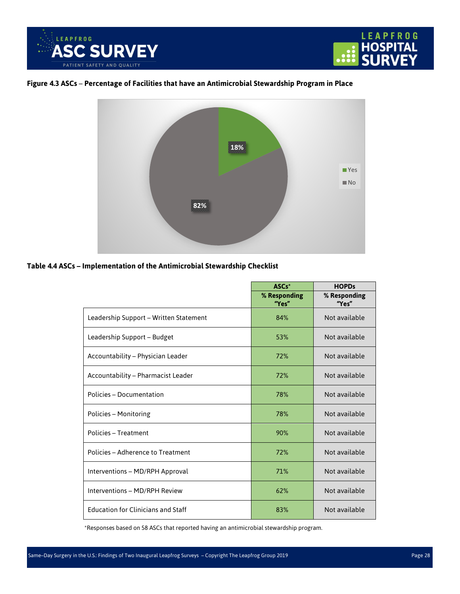![](_page_27_Picture_0.jpeg)

![](_page_27_Picture_1.jpeg)

#### <span id="page-27-0"></span>**Figure 4.3 ASCs** – **Percentage of Facilities that have an Antimicrobial Stewardship Program in Place**

![](_page_27_Picture_3.jpeg)

#### <span id="page-27-1"></span>**Table 4.4 ASCs – Implementation of the Antimicrobial Stewardship Checklist**

|                                           | ASCs*                 | <b>HOPDs</b>          |
|-------------------------------------------|-----------------------|-----------------------|
|                                           | % Responding<br>"Yes" | % Responding<br>"Yes" |
| Leadership Support - Written Statement    | 84%                   | Not available         |
| Leadership Support - Budget               | 53%                   | Not available         |
| Accountability - Physician Leader         | 72%                   | Not available         |
| <b>Accountability - Pharmacist Leader</b> | 72%                   | Not available         |
| Policies - Documentation                  | 78%                   | Not available         |
| Policies - Monitoring                     | 78%                   | Not available         |
| Policies - Treatment                      | 90%                   | Not available         |
| Policies - Adherence to Treatment         | 72%                   | Not available         |
| Interventions - MD/RPH Approval           | 71%                   | Not available         |
| Interventions - MD/RPH Review             | 62%                   | Not available         |
| <b>Education for Clinicians and Staff</b> | 83%                   | Not available         |

\*Responses based on 58 ASCs that reported having an antimicrobial stewardship program.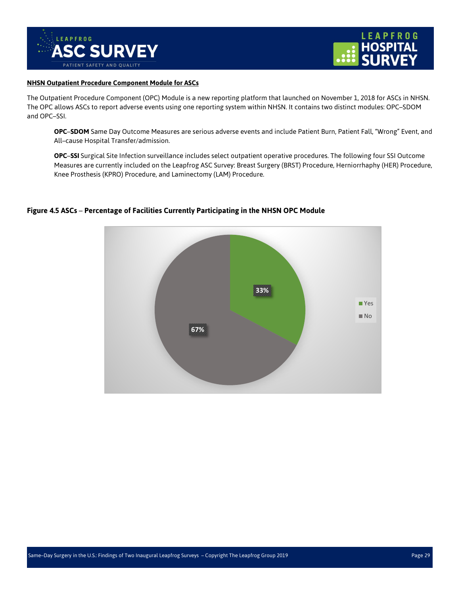![](_page_28_Picture_0.jpeg)

![](_page_28_Picture_1.jpeg)

#### **NHSN Outpatient Procedure Component Module for ASCs**

The Outpatient Procedure Component (OPC) Module is a new reporting platform that launched on November 1, 2018 for ASCs in NHSN. The OPC allows ASCs to report adverse events using one reporting system within NHSN. It contains two distinct modules: OPC–SDOM and OPC–SSI.

**OPC**–**SDOM** Same Day Outcome Measures are serious adverse events and include Patient Burn, Patient Fall, "Wrong" Event, and All–cause Hospital Transfer/admission.

**OPC**–**SSI** Surgical Site Infection surveillance includes select outpatient operative procedures. The following four SSI Outcome Measures are currently included on the Leapfrog ASC Survey: Breast Surgery (BRST) Procedure, Herniorrhaphy (HER) Procedure, Knee Prosthesis (KPRO) Procedure, and Laminectomy (LAM) Procedure.

![](_page_28_Figure_6.jpeg)

#### <span id="page-28-0"></span>**Figure 4.5 ASCs** – **Percentage of Facilities Currently Participating in the NHSN OPC Module**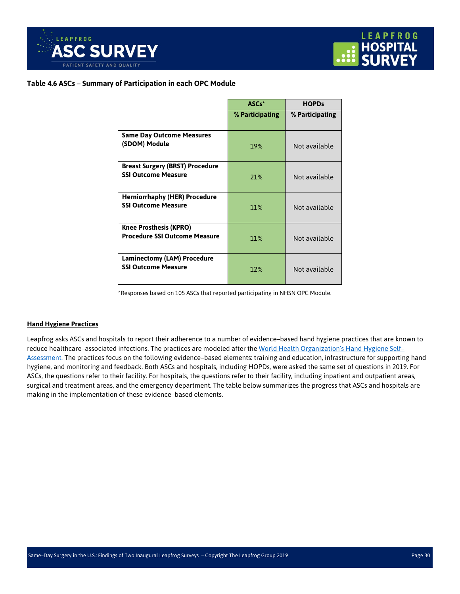![](_page_29_Picture_0.jpeg)

![](_page_29_Picture_1.jpeg)

#### <span id="page-29-0"></span>**Table 4.6 ASCs** – **Summary of Participation in each OPC Module**

|                                                                       | ASCs*           | <b>HOPDs</b>    |
|-----------------------------------------------------------------------|-----------------|-----------------|
|                                                                       | % Participating | % Participating |
| <b>Same Day Outcome Measures</b><br>(SDOM) Module                     | 19%             | Not available   |
| <b>Breast Surgery (BRST) Procedure</b><br><b>SSI Outcome Measure</b>  | 21%             | Not available   |
| <b>Herniorrhaphy (HER) Procedure</b><br><b>SSI Outcome Measure</b>    | 11%             | Not available   |
| <b>Knee Prosthesis (KPRO)</b><br><b>Procedure SSI Outcome Measure</b> | 11%             | Not available   |
| <b>Laminectomy (LAM) Procedure</b><br><b>SSI Outcome Measure</b>      | 12%             | Not available   |

\*Responses based on 105 ASCs that reported participating in NHSN OPC Module.

#### **Hand Hygiene Practices**

Leapfrog asks ASCs and hospitals to report their adherence to a number of evidence–based hand hygiene practices that are known to reduce healthcare–associated infections. The practices are modeled after th[e World Health Organization's Hand Hygiene Self–](https://www.who.int/gpsc/5may/hhsa_framework/en/) [Assessment.](https://www.who.int/gpsc/5may/hhsa_framework/en/) The practices focus on the following evidence–based elements: training and education, infrastructure for supporting hand hygiene, and monitoring and feedback. Both ASCs and hospitals, including HOPDs, were asked the same set of questions in 2019. For ASCs, the questions refer to their facility. For hospitals, the questions refer to their facility, including inpatient and outpatient areas, surgical and treatment areas, and the emergency department. The table below summarizes the progress that ASCs and hospitals are making in the implementation of these evidence–based elements.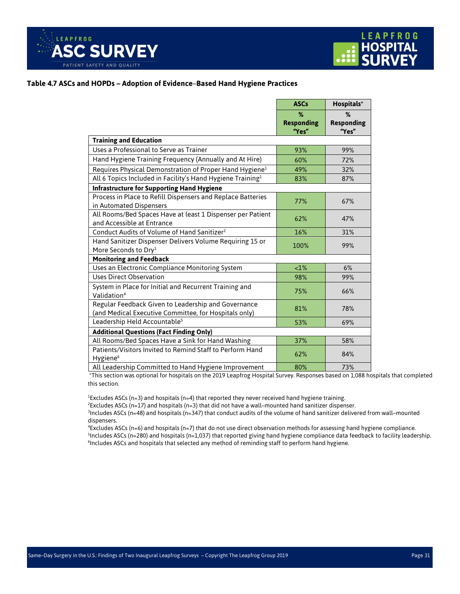![](_page_30_Picture_0.jpeg)

![](_page_30_Picture_1.jpeg)

#### <span id="page-30-0"></span>**Table 4.7 ASCs and HOPDs – Adoption of Evidence**–**Based Hand Hygiene Practices**

|                                                                                                              | <b>ASCs</b>                     | Hospitals*                      |
|--------------------------------------------------------------------------------------------------------------|---------------------------------|---------------------------------|
|                                                                                                              | %<br><b>Responding</b><br>"Yes" | %<br><b>Responding</b><br>"Yes" |
| <b>Training and Education</b>                                                                                |                                 |                                 |
| Uses a Professional to Serve as Trainer                                                                      | 93%                             | 99%                             |
| Hand Hygiene Training Frequency (Annually and At Hire)                                                       | 60%                             | 72%                             |
| Requires Physical Demonstration of Proper Hand Hygiene <sup>1</sup>                                          | 49%                             | 32%                             |
| All 6 Topics Included in Facility's Hand Hygiene Training <sup>1</sup>                                       | 83%                             | 87%                             |
| <b>Infrastructure for Supporting Hand Hygiene</b>                                                            |                                 |                                 |
| Process in Place to Refill Dispensers and Replace Batteries<br>in Automated Dispensers                       | 77%                             | 67%                             |
| All Rooms/Bed Spaces Have at least 1 Dispenser per Patient<br>and Accessible at Entrance                     | 62%                             | 47%                             |
| Conduct Audits of Volume of Hand Sanitizer <sup>2</sup>                                                      | 16%                             | 31%                             |
| Hand Sanitizer Dispenser Delivers Volume Requiring 15 or<br>More Seconds to Dry <sup>3</sup>                 | 100%                            | 99%                             |
| <b>Monitoring and Feedback</b>                                                                               |                                 |                                 |
| Uses an Electronic Compliance Monitoring System                                                              | <1%                             | 6%                              |
| <b>Uses Direct Observation</b>                                                                               | 98%                             | 99%                             |
| System in Place for Initial and Recurrent Training and<br>Validation <sup>4</sup>                            | 75%                             | 66%                             |
| Regular Feedback Given to Leadership and Governance<br>(and Medical Executive Committee, for Hospitals only) | 81%                             | 78%                             |
| Leadership Held Accountable <sup>5</sup>                                                                     | 53%                             | 69%                             |
| <b>Additional Questions (Fact Finding Only)</b>                                                              |                                 |                                 |
| All Rooms/Bed Spaces Have a Sink for Hand Washing                                                            | 37%                             | 58%                             |
| Patients/Visitors Invited to Remind Staff to Perform Hand<br>Hygiene <sup>6</sup>                            | 62%                             | 84%                             |
| All Leadership Committed to Hand Hygiene Improvement                                                         | 80%                             | 73%                             |

\*This section was optional for hospitals on the 2019 Leapfrog Hospital Survey. Responses based on 1,088 hospitals that completed this section.

1 Excludes ASCs (n=3) and hospitals (n=4) that reported they never received hand hygiene training.

2 Excludes ASCs (n=17) and hospitals (n=3) that did not have a wall–mounted hand sanitizer dispenser.

3 Includes ASCs (n=48) and hospitals (n=347) that conduct audits of the volume of hand sanitizer delivered from wall–mounted dispensers.

4 Excludes ASCs (n=6) and hospitals (n=7) that do not use direct observation methods for assessing hand hygiene compliance. 5 Includes ASCs (n=280) and hospitals (n=1,037) that reported giving hand hygiene compliance data feedback to facility leadership.

<sup>6</sup>Includes ASCs and hospitals that selected any method of reminding staff to perform hand hygiene.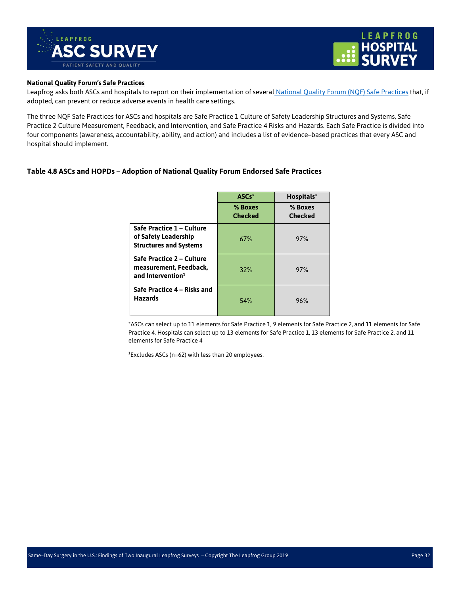![](_page_31_Picture_0.jpeg)

![](_page_31_Picture_1.jpeg)

#### **National Quality Forum's Safe Practices**

Leapfrog asks both ASCs and hospitals to report on their implementation of several [National Quality Forum \(NQF\) Safe Practices](http://www.qualityforum.org/publications/2010/04/safe_practices_for_better_healthcare_%E2%80%93_2010_update.aspx) that, if adopted, can prevent or reduce adverse events in health care settings.

The three NQF Safe Practices for ASCs and hospitals are Safe Practice 1 Culture of Safety Leadership Structures and Systems, Safe Practice 2 Culture Measurement, Feedback, and Intervention, and Safe Practice 4 Risks and Hazards. Each Safe Practice is divided into four components (awareness, accountability, ability, and action) and includes a list of evidence–based practices that every ASC and hospital should implement.

#### **Table 4.8 ASCs and HOPDs – Adoption of National Quality Forum Endorsed Safe Practices**

<span id="page-31-0"></span>

|                                                                                      | ASCs*                     | Hospitals*                |
|--------------------------------------------------------------------------------------|---------------------------|---------------------------|
|                                                                                      | % Boxes<br><b>Checked</b> | % Boxes<br><b>Checked</b> |
| Safe Practice 1 - Culture<br>of Safety Leadership<br><b>Structures and Systems</b>   | 67%                       | 97%                       |
| Safe Practice 2 - Culture<br>measurement, Feedback,<br>and Intervention <sup>1</sup> | 32%                       | 97%                       |
| Safe Practice 4 - Risks and<br><b>Hazards</b>                                        | 54%                       | 96%                       |

\*ASCs can select up to 11 elements for Safe Practice 1, 9 elements for Safe Practice 2, and 11 elements for Safe Practice 4. Hospitals can select up to 13 elements for Safe Practice 1, 13 elements for Safe Practice 2, and 11 elements for Safe Practice 4

1 Excludes ASCs (n=62) with less than 20 employees.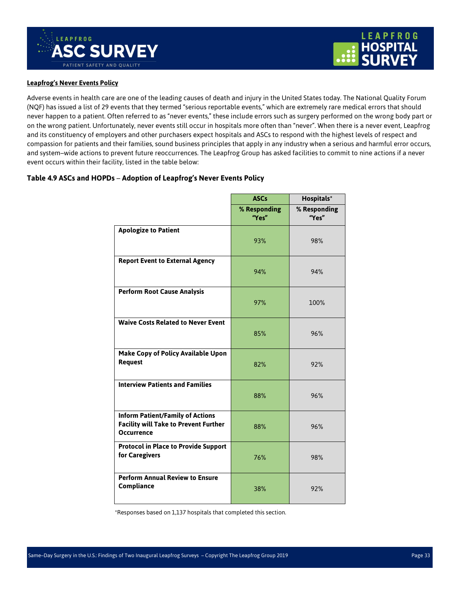![](_page_32_Picture_0.jpeg)

![](_page_32_Picture_1.jpeg)

#### **Leapfrog's Never Events Policy**

Adverse events in health care are one of the leading causes of death and injury in the United States today. The National Quality Forum (NQF) has issued a list of 29 events that they termed "serious reportable events," which are extremely rare medical errors that should never happen to a patient. Often referred to as "never events," these include errors such as surgery performed on the wrong body part or on the wrong patient. Unfortunately, never events still occur in hospitals more often than "never". When there is a never event, Leapfrog and its constituency of employers and other purchasers expect hospitals and ASCs to respond with the highest levels of respect and compassion for patients and their families, sound business principles that apply in any industry when a serious and harmful error occurs, and system–wide actions to prevent future reoccurrences. The Leapfrog Group has asked facilities to commit to nine actions if a never event occurs within their facility, listed in the table below:

#### <span id="page-32-0"></span>**Table 4.9 ASCs and HOPDs** – **Adoption of Leapfrog's Never Events Policy**

|                                                                                                              | <b>ASCs</b>           | Hospitals*            |
|--------------------------------------------------------------------------------------------------------------|-----------------------|-----------------------|
|                                                                                                              | % Responding<br>"Yes" | % Responding<br>"Yes" |
| <b>Apologize to Patient</b>                                                                                  | 93%                   | 98%                   |
| <b>Report Event to External Agency</b>                                                                       | 94%                   | 94%                   |
| <b>Perform Root Cause Analysis</b>                                                                           | 97%                   | 100%                  |
| <b>Waive Costs Related to Never Event</b>                                                                    | 85%                   | 96%                   |
| Make Copy of Policy Available Upon<br><b>Request</b>                                                         | 82%                   | 92%                   |
| <b>Interview Patients and Families</b>                                                                       | 88%                   | 96%                   |
| <b>Inform Patient/Family of Actions</b><br><b>Facility will Take to Prevent Further</b><br><b>Occurrence</b> | 88%                   | 96%                   |
| <b>Protocol in Place to Provide Support</b><br>for Caregivers                                                | 76%                   | 98%                   |
| <b>Perform Annual Review to Ensure</b><br>Compliance                                                         | 38%                   | 92%                   |

\*Responses based on 1,137 hospitals that completed this section.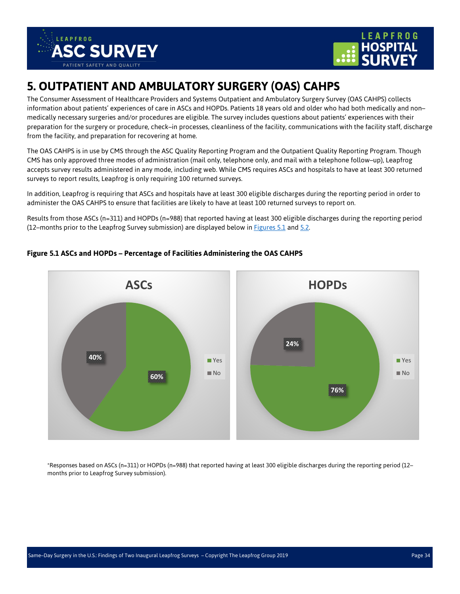![](_page_33_Picture_0.jpeg)

![](_page_33_Picture_1.jpeg)

## <span id="page-33-0"></span>**5. OUTPATIENT AND AMBULATORY SURGERY (OAS) CAHPS**

The Consumer Assessment of Healthcare Providers and Systems Outpatient and Ambulatory Surgery Survey (OAS CAHPS) collects information about patients' experiences of care in ASCs and HOPDs. Patients 18 years old and older who had both medically and non– medically necessary surgeries and/or procedures are eligible. The survey includes questions about patients' experiences with their preparation for the surgery or procedure, check–in processes, cleanliness of the facility, communications with the facility staff, discharge from the facility, and preparation for recovering at home.

The OAS CAHPS is in use by CMS through the ASC Quality Reporting Program and the Outpatient Quality Reporting Program. Though CMS has only approved three modes of administration (mail only, telephone only, and mail with a telephone follow–up), Leapfrog accepts survey results administered in any mode, including web. While CMS requires ASCs and hospitals to have at least 300 returned surveys to report results, Leapfrog is only requiring 100 returned surveys.

In addition, Leapfrog is requiring that ASCs and hospitals have at least 300 eligible discharges during the reporting period in order to administer the OAS CAHPS to ensure that facilities are likely to have at least 100 returned surveys to report on.

Results from those ASCs (n=311) and HOPDs (n=988) that reported having at least 300 eligible discharges during the reporting period (12–months prior to the Leapfrog Survey submission) are displayed below in [Figures 5.1](#page-33-1) and [5.2.](#page-34-0)

![](_page_33_Figure_7.jpeg)

#### <span id="page-33-1"></span>**Figure 5.1 ASCs and HOPDs – Percentage of Facilities Administering the OAS CAHPS**

\*Responses based on ASCs (n=311) or HOPDs (n=988) that reported having at least 300 eligible discharges during the reporting period (12– months prior to Leapfrog Survey submission).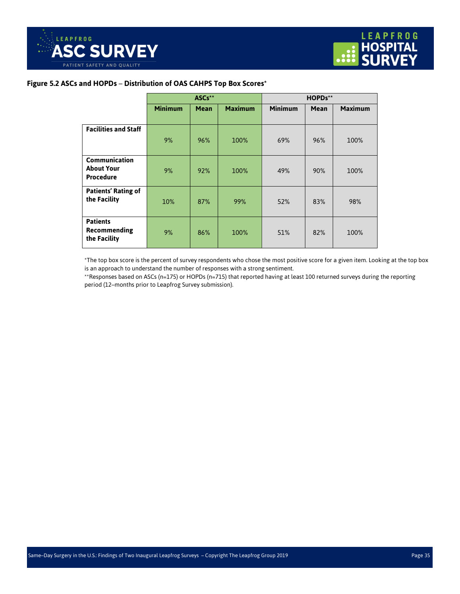#### <span id="page-34-0"></span>**Figure 5.2 ASCs and HOPDs** – **Distribution of OAS CAHPS Top Box Scores\***

|                                                        |                | ASCs**      |                | HOPDs**        |             |                |
|--------------------------------------------------------|----------------|-------------|----------------|----------------|-------------|----------------|
|                                                        | <b>Minimum</b> | <b>Mean</b> | <b>Maximum</b> | <b>Minimum</b> | <b>Mean</b> | <b>Maximum</b> |
|                                                        |                |             |                |                |             |                |
| <b>Facilities and Staff</b>                            | 9%             | 96%         | 100%           | 69%            | 96%         | 100%           |
| Communication<br><b>About Your</b><br><b>Procedure</b> | 9%             | 92%         | 100%           | 49%            | 90%         | 100%           |
| <b>Patients' Rating of</b><br>the Facility             | 10%            | 87%         | 99%            | 52%            | 83%         | 98%            |
| <b>Patients</b><br>Recommending<br>the Facility        | 9%             | 86%         | 100%           | 51%            | 82%         | 100%           |

\*The top box score is the percent of survey respondents who chose the most positive score for a given item. Looking at the top box is an approach to understand the number of responses with a strong sentiment.

\*\*Responses based on ASCs (n=175) or HOPDs (n=715) that reported having at least 100 returned surveys during the reporting period (12–months prior to Leapfrog Survey submission).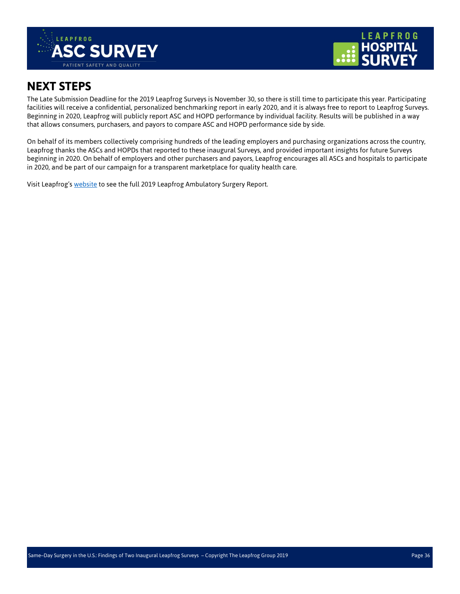![](_page_35_Picture_0.jpeg)

![](_page_35_Picture_1.jpeg)

## <span id="page-35-0"></span>**NEXT STEPS**

The Late Submission Deadline for the 2019 Leapfrog Surveys is November 30, so there is still time to participate this year. Participating facilities will receive a confidential, personalized benchmarking report in early 2020, and it is always free to report to Leapfrog Surveys. Beginning in 2020, Leapfrog will publicly report ASC and HOPD performance by individual facility. Results will be published in a way that allows consumers, purchasers, and payors to compare ASC and HOPD performance side by side.

On behalf of its members collectively comprising hundreds of the leading employers and purchasing organizations across the country, Leapfrog thanks the ASCs and HOPDs that reported to these inaugural Surveys, and provided important insights for future Surveys beginning in 2020. On behalf of employers and other purchasers and payors, Leapfrog encourages all ASCs and hospitals to participate in 2020, and be part of our campaign for a transparent marketplace for quality health care.

<span id="page-35-1"></span>Visit Leapfrog'[s website](https://www.leapfroggroup.org/same-day-surgery-us-findings-two-inaugural-leapfrog-surveys) to see the full 2019 Leapfrog Ambulatory Surgery Report.